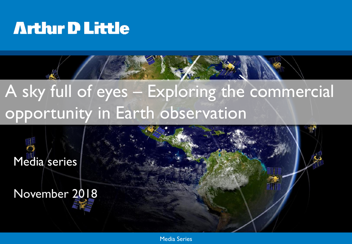# A sky full of eyes – Exploring the commercial opportunity in Earth observation

Media series

November 2018

Media Series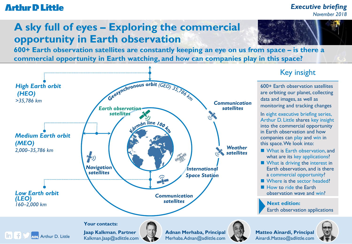#### *Executive briefing November 2018*

## **A sky full of eyes – Exploring the commercial opportunity in Earth observation**

**600+ Earth observation satellites are constantly keeping an eye on us from space – is there a commercial opportunity in Earth watching, and how can companies play in this space?**



## Key insight

600+ Earth observation satellites are orbiting our planet, collecting data and images, as well as monitoring and tracking changes

In eight executive briefing series, Arthur D. Little shares key insight into the commercial opportunity in Earth observation and how companies can play and win in this space. We look into:

- What is Earth observation, and what are its key applications?
- What is driving the interest in Earth observation, and is there a commercial opportunity?
- Where is the sector headed?
- **How to ride the Farth** observation wave and win?

**Next edition:**  Earth observation applications

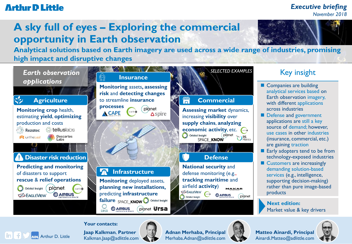in.

#### *Executive briefing November 2018*

## **A sky full of eyes – Exploring the commercial opportunity in Earth observation**



**Analytical solutions based on Earth imagery are used across a wide range of industries, promising high impact and disruptive changes**



## **Your contacts:**

**Jaap Kalkman**, **Partner** Kalkman.Jaap@adlittle.com



**Adnan Merhaba, Principal**



Arthur D. Little Kalkman.Jaap@adlittle.com Merhaba.Adnan@adlittle.com Ainardi.Matteo@adlittle.com **Matteo Ainardi, Principal** Ainardi.Matteo@adlittle.com

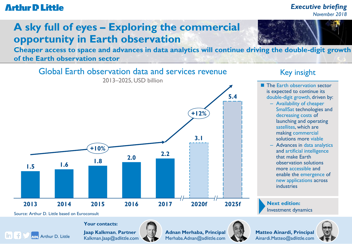#### *Executive briefing November 2018*

## **A sky full of eyes – Exploring the commercial opportunity in Earth observation**

**Cheaper access to space and advances in data analytics will continue driving the double-digit growth of the Earth observation sector**



### Key insight

- **The Earth observation sector** is expected to continue its double-digit growth, driven by:
	- Availability of cheaper SmallSat technologies and decreasing costs of launching and operating satellites, which are making commercial solutions more viable
	- Advances in data analytics and artificial intelligence that make Earth observation solutions more accessible and enable the emergence of new applications across industries

**Next edition:**  Investment dynamics

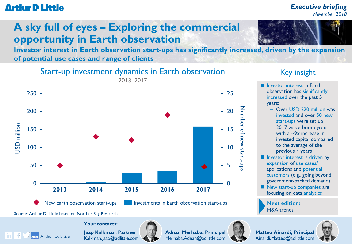### *Executive briefing November 2018*

## **A sky full of eyes – Exploring the commercial opportunity in Earth observation**

**Investor interest in Earth observation start-ups has significantly increased, driven by the expansion of potential use cases and range of clients**



New Earth observation start-ups **Investments in Earth observation start-ups** 

### Key insight

- **Investor interest in Earth** observation has significantly increased over the past 5 years: – Over USD 220 million was invested and over 50 new start-ups were set up – 2017 was a boom year, with a ~9x increase in invested capital compared to the average of the previous 4 years
- **Investor interest is driven by** expansion of use cases/ applications and potential customers (e.g., going beyond government-backed demand)
- New start-up companies are focusing on data analytics

**Next edition:**  M&A trends



Source: Arthur D. Little based on Norther Sky Research

in.

**Jaap Kalkman**, **Partner** Kalkman.Jaap@adlittle.com

**Your contacts:**



**Adnan Merhaba, Principal**



Arthur D. Little Kalkman.Jaap@adlittle.com Merhaba.Adnan@adlittle.com Ainardi.Matteo@adlittle.com **Matteo Ainardi, Principal** Ainardi.Matteo@adlittle.com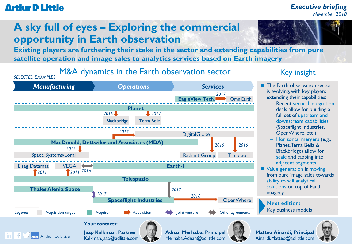#### *Executive briefing November 2018*

## **A sky full of eyes – Exploring the commercial opportunity in Earth observation**

**Existing players are furthering their stake in the sector and extending capabilities from pure satellite operation and image sales to analytics services based on Earth imagery**

*SELECTED EXAMPLES* M&A dynamics in the Earth observation sector



### Key insight

- **The Earth observation sector** is evolving, with key players extending their capabilities:
	- Recent vertical integration deals allow for building a full set of upstream and downstream capabilities (Spaceflight Industries, OpenWhere, etc.)
	- Horizontal mergers (e.g., Planet, Terra Bella & Blackbridge) allow for scale and tapping into adjacent segments
- Value generation is moving from pure image sales towards ability to sell analytical solutions on top of Earth imagery

**Next edition:**  Key business models



**Matteo Ainardi, Principal** Ainardi.Matteo@adlittle.com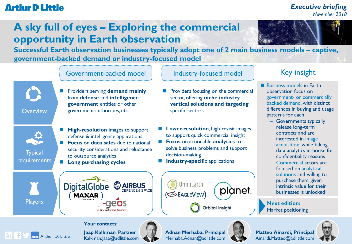#### *Executive briefing November 2018*

## **A sky full of eyes – Exploring the commercial opportunity in Earth observation**

**Successful Earth observation businesses typically adopt one of 2 main business models – captive, government-backed demand or industry-focused model**

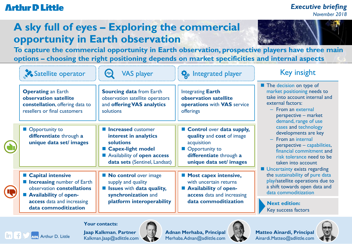#### *Executive briefing November 2018*

## **A sky full of eyes – Exploring the commercial opportunity in Earth observation**

**To capture the commercial opportunity in Earth observation, prospective players have three main options – choosing the right positioning depends on market specificities and internal aspects**

| Satellite operator                                                                                                                                                                  | $\bm{\omega}$<br><b>VAS player</b>                                                                                                                     | <b>Q</b> <sub>p</sub> Integrated player                                                                                                       | <b>Key insight</b>                                                                                                                                                                                                                                                                                                                                                                                                                                                                                                                                                    |
|-------------------------------------------------------------------------------------------------------------------------------------------------------------------------------------|--------------------------------------------------------------------------------------------------------------------------------------------------------|-----------------------------------------------------------------------------------------------------------------------------------------------|-----------------------------------------------------------------------------------------------------------------------------------------------------------------------------------------------------------------------------------------------------------------------------------------------------------------------------------------------------------------------------------------------------------------------------------------------------------------------------------------------------------------------------------------------------------------------|
| <b>Operating an Earth</b><br>observation satellite<br>constellation, offering data to<br>resellers or final customers                                                               | <b>Sourcing data from Earth</b><br>observation satellite operators<br>and offering VAS analytics<br>solutions                                          | <b>Integrating Earth</b><br>observation satellite<br>operations with VAS service<br>offerings                                                 | The decision on type of<br>market positioning needs to<br>take into account internal and<br>external factors:<br>$-$ From an external<br>perspective - market<br>demand, range of use<br>cases and technology<br>developments are key<br>$-$ From an internal<br>perspective - capabilities,<br>financial commitment and<br>risk tolerance need to be<br>taken into account<br>■ Uncertainty exists regarding<br>the sustainability of pure data<br>play/satellite operations due to<br>a shift towards open data and<br>data commoditization<br><b>Next edition:</b> |
| ■ Opportunity to<br>differentiate through a<br>unique data set/ images                                                                                                              | <b>Increased customer</b><br>interest in analytics<br>solutions<br>■ Capex-light model<br>Availability of open access<br>data sets (Sentinel, Landsat) | Control over data supply,<br>quality and cost of image<br>acquisition<br>Opportunity to<br>differentiate through a<br>unique data set/ images |                                                                                                                                                                                                                                                                                                                                                                                                                                                                                                                                                                       |
| ■ Capital intensive<br><b>Increasing number of Earth</b><br>observation <b>constellations</b><br><b>Availability of open-</b><br>access data and increasing<br>data commoditization | <b>No control</b> over image<br>supply and quality<br><b>Solution</b> Issues with data quality,<br>synchronization and<br>platform interoperability    | <b>Most capex intensive,</b><br>with uncertain returns<br><b>Availability of open-</b><br>access data and increasing<br>data commoditization  |                                                                                                                                                                                                                                                                                                                                                                                                                                                                                                                                                                       |
|                                                                                                                                                                                     |                                                                                                                                                        |                                                                                                                                               | Key success factors                                                                                                                                                                                                                                                                                                                                                                                                                                                                                                                                                   |

**Jaap Kalkman**, **Partner** Kalkman.Jaap@adlittle.com

**Your contacts:**



**Adnan Merhaba, Principal**



Arthur D. Little Kalkman.Jaap@adlittle.com Merhaba.Adnan@adlittle.com Ainardi.Matteo@adlittle.com **Matteo Ainardi, Principal** Ainardi.Matteo@adlittle.com

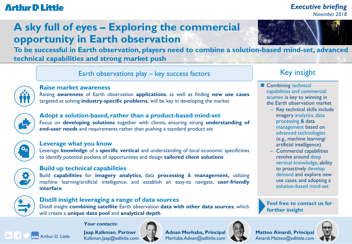### *Executive briefing November 2018*

## **A sky full of eyes – Exploring the commercial opportunity in Earth observation**

**To be successful in Earth observation, players need to combine a solution-based mind-set, advanced technical capabilities and strong market push**

Earth observations play – key success factors **Key insight** 



#### **Raise market awareness**

Raising **awareness** of Earth observation **applications**, as well as finding **new use cases** targeted at solving **industry-specific problems**, will be key in developing the market



#### **Adopt a solution-based, rather than a product-based mind-set** Focus on **developing solutions** together with clients, ensuring strong **understanding of end-user needs** and requirements rather than pushing a standard product set



#### **Leverage what you know**

Leverage **knowledge** of a **specific vertical** and understanding of local economic specificities to identify potential pockets of opportunities and design **tailored client solutions**



#### **Build up technical capabilities**

Build **capabilities** for **imagery analytics**, data **processing** & **management,** utilizing machine learning/artificial intelligence, and establish an easy-to navigate, **user**-**friendly interface**



#### **Distill insight leveraging a range of data sources**

Distill insight **combining satellite** Earth observation **data with other data sources**, which will create a **unique data pool** and **analytical depth**



- Combining technical capabilities and commercial acumen is key to winning in the Earth observation market
	- Key technical skills include imagery analytics, data processing & data management based on advanced technologies (e.g., machine learning/ artificial intelligence)
	- Commercial capabilities revolve around deep vertical knowledge, ability to proactively develop demand and explore new use cases, and adopting a solution-based mind-set

**Feel free to contact us for further insight**



**Matteo Ainardi, Principal** Ainardi.Matteo@adlittle.com



**Jaap Kalkman**, **Partner** Kalkman.Jaap@adlittle.com

**Your contacts:**



Arthur D. Little Kalkman.Jaap@adlittle.com Merhaba.Adnan@adlittle.com Ainardi.Matteo@adlittle.com **Adnan Merhaba, Principal**